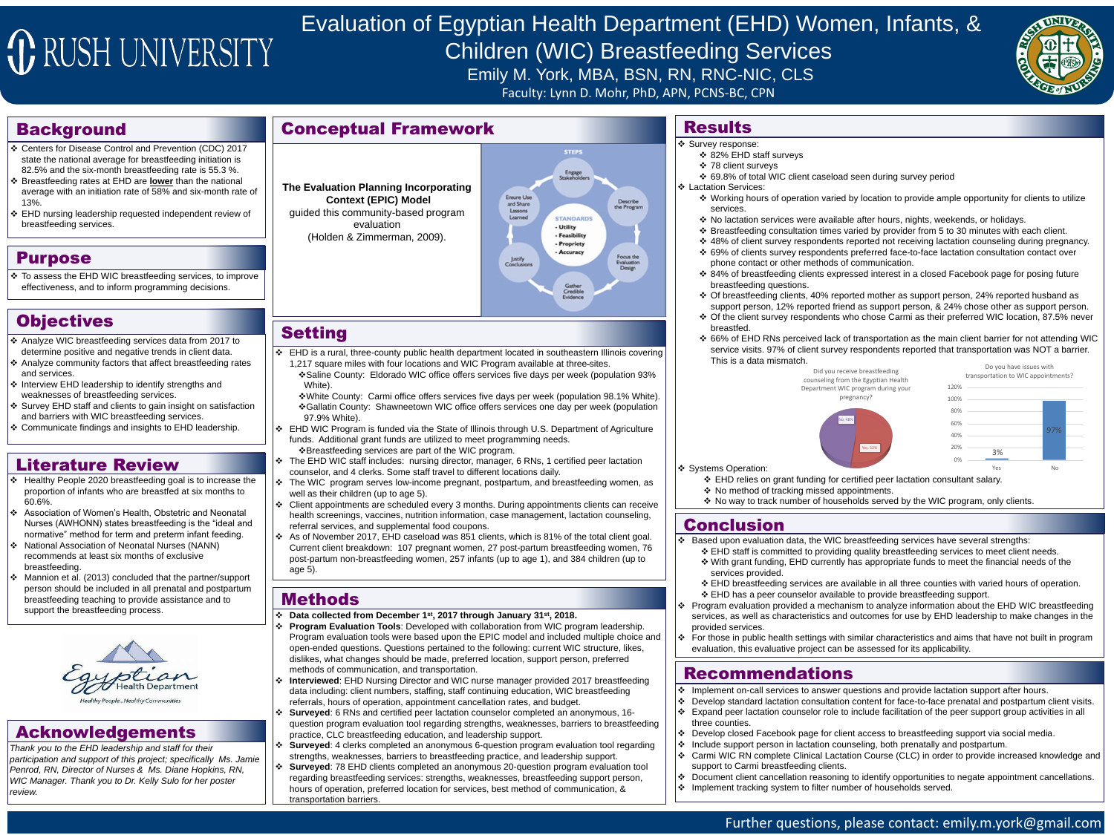# JE RUSH UNIVERSITY

## Background

#### Purpose

## Objectives

## Methods

**☆** Data collected from December 1<sup>st</sup>, 2017 through January 31<sup>st</sup>, 2018.

 **Program Evaluation Tools**: Developed with collaboration from WIC program leadership. Program evaluation tools were based upon the EPIC model and included multiple choice and open-ended questions. Questions pertained to the following: current WIC structure, likes, dislikes, what changes should be made, preferred location, support person, preferred methods of communication, and transportation.

◆ Interviewed: EHD Nursing Director and WIC nurse manager provided 2017 breastfeeding data including: client numbers, staffing, staff continuing education, WIC breastfeeding referrals, hours of operation, appointment cancellation rates, and budget. **Surveyed**: 6 RNs and certified peer lactation counselor completed an anonymous, 16 question program evaluation tool regarding strengths, weaknesses, barriers to breastfeeding practice, CLC breastfeeding education, and leadership support.

 **Surveyed**: 4 clerks completed an anonymous 6-question program evaluation tool regarding strengths, weaknesses, barriers to breastfeeding practice, and leadership support. ◆ Surveyed: 78 EHD clients completed an anonymous 20-question program evaluation tool regarding breastfeeding services: strengths, weaknesses, breastfeeding support person, hours of operation, preferred location for services, best method of communication, & transportation barriers.



- 
- ◆ Working hours of operation varied by location to provide ample opportunity for clients to utilize
- ◆ No lactation services were available after hours, nights, weekends, or holidays.
- Breastfeeding consultation times varied by provider from 5 to 30 minutes with each client.
- ◆ 48% of client survey respondents reported not receiving lactation counseling during pregnancy. ◆ 69% of clients survey respondents preferred face-to-face lactation consultation contact over
- ◆ 84% of breastfeeding clients expressed interest in a closed Facebook page for posing future
- Of breastfeeding clients, 40% reported mother as support person, 24% reported husband as support person, 12% reported friend as support person, & 24% chose other as support person. ◆ Of the client survey respondents who chose Carmi as their preferred WIC location, 87.5% never
- 66% of EHD RNs perceived lack of transportation as the main client barrier for not attending WIC service visits. 97% of client survey respondents reported that transportation was NOT a barrier.

- ❖ EHD breastfeeding services are available in all three counties with varied hours of operation. ❖ EHD has a peer counselor available to provide breastfeeding support.
- ◆ Program evaluation provided a mechanism to analyze information about the EHD WIC breastfeeding services, as well as characteristics and outcomes for use by EHD leadership to make changes in the
- For those in public health settings with similar characteristics and aims that have not built in program

 Based upon evaluation data, the WIC breastfeeding services have several strengths: ❖ EHD staff is committed to providing quality breastfeeding services to meet client needs. With grant funding, EHD currently has appropriate funds to meet the financial needs of the

◆ EHD WIC Program is funded via the State of Illinois through U.S. Department of Agriculture funds. Additional grant funds are utilized to meet programming needs.

 $\triangle$ **Breastfeeding services are part of the WIC program.** 

◆ The EHD WIC staff includes: nursing director, manager, 6 RNs, 1 certified peer lactation counselor, and 4 clerks. Some staff travel to different locations daily.

◆ The WIC program serves low-income pregnant, postpartum, and breastfeeding women, as well as their children (up to age 5).

◆ Client appointments are scheduled every 3 months. During appointments clients can receive health screenings, vaccines, nutrition information, case management, lactation counseling, referral services, and supplemental food coupons.

◆ As of November 2017, EHD caseload was 851 clients, which is 81% of the total client goal. Current client breakdown: 107 pregnant women, 27 post-partum breastfeeding women, 76 post-partum non-breastfeeding women, 257 infants (up to age 1), and 384 children (up to age 5).

## Further questions, please contact: emily.m.york@gmail.com

# Evaluation of Egyptian Health Department (EHD) Women, Infants, & Children (WIC) Breastfeeding Services Emily M. York, MBA, BSN, RN, RNC-NIC, CLS Faculty: Lynn D. Mohr, PhD, APN, PCNS-BC, CPN

❖ Implement on-call services to answer questions and provide lactation support after hours. Develop standard lactation consultation content for face-to-face prenatal and postpartum client visits. Expand peer lactation counselor role to include facilitation of the peer support group activities in all

 Develop closed Facebook page for client access to breastfeeding support via social media. Include support person in lactation counseling, both prenatally and postpartum. ◆ Carmi WIC RN complete Clinical Lactation Course (CLC) in order to provide increased knowledge and

◆ Document client cancellation reasoning to identify opportunities to negate appointment cancellations.

 To assess the EHD WIC breastfeeding services, to improve effectiveness, and to inform programming decisions.

- Analyze WIC breastfeeding services data from 2017 to determine positive and negative trends in client data.
- ❖ Analyze community factors that affect breastfeeding rates and services.
- ❖ Interview EHD leadership to identify strengths and weaknesses of breastfeeding services.
- ❖ Survey EHD staff and clients to gain insight on satisfaction and barriers with WIC breastfeeding services.
- Communicate findings and insights to EHD leadership.
- Centers for Disease Control and Prevention (CDC) 2017 state the national average for breastfeeding initiation is 82.5% and the six-month breastfeeding rate is 55.3 %.
- Breastfeeding rates at EHD are **lower** than the national average with an initiation rate of 58% and six-month rate of 13%.
- EHD nursing leadership requested independent review of breastfeeding services.



*Thank you to the EHD leadership and staff for their participation and support of this project; specifically Ms. Jamie Penrod, RN, Director of Nurses & Ms. Diane Hopkins, RN, WIC Manager. Thank you to Dr. Kelly Sulo for her poster review.*













## Literature Review

- Healthy People 2020 breastfeeding goal is to increase the proportion of infants who are breastfed at six months to 60.6%.
- ↓ Association of Women's Health, Obstetric and Neonatal Nurses (AWHONN) states breastfeeding is the "ideal and normative" method for term and preterm infant feeding.
- ↓ National Association of Neonatal Nurses (NANN) recommends at least six months of exclusive breastfeeding.
- Mannion et al. (2013) concluded that the partner/support person should be included in all prenatal and postpartum breastfeeding teaching to provide assistance and to support the breastfeeding process.



## Conceptual Framework

**The Evaluation Planning Incorporating Context (EPIC) Model**

guided this community-based program evaluation

(Holden & Zimmerman, 2009).

## Setting

 $\div$  EHD is a rural, three-county public health department located in southeastern Illinois covering 1,217 square miles with four locations and WIC Program available at three-sites.

White).

White County: Carmi office offers services five days per week (population 98.1% White). ❖ Gallatin County: Shawneetown WIC office offers services one day per week (population 97.9% White).

| h.<br>Did you receive breastfeeding<br>counseling from the Egyptian Health<br>Department WIC program during your<br>pregnancy? |           | Do you have issues with<br>transportation to WIC appointments? |
|--------------------------------------------------------------------------------------------------------------------------------|-----------|----------------------------------------------------------------|
|                                                                                                                                | 120%      |                                                                |
|                                                                                                                                | 100%      |                                                                |
| No, 48%<br>Yes, 52%                                                                                                            | 80%       |                                                                |
|                                                                                                                                | 60%       |                                                                |
|                                                                                                                                | 40%       | 97%                                                            |
|                                                                                                                                | 20%<br>3% |                                                                |
|                                                                                                                                | 0%        |                                                                |
|                                                                                                                                | Yes       | <b>No</b>                                                      |
| unding for certified peer lactation consultant salary.                                                                         |           |                                                                |

❖ No way to track number of households served by the WIC program, only clients.

## Acknowledgements